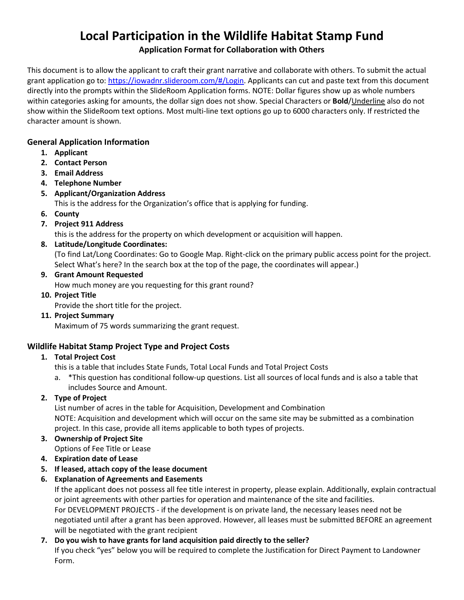# **Local Participation in the Wildlife Habitat Stamp Fund Application Format for Collaboration with Others**

This document is to allow the applicant to craft their grant narrative and collaborate with others. To submit the actual grant application go to[: https://iowadnr.slideroom.com/#/Login.](https://iowadnr.slideroom.com/#/Login) Applicants can cut and paste text from this document directly into the prompts within the SlideRoom Application forms. NOTE: Dollar figures show up as whole numbers within categories asking for amounts, the dollar sign does not show. Special Characters or **Bold**/Underline also do not show within the SlideRoom text options. Most multi-line text options go up to 6000 characters only. If restricted the character amount is shown.

# **General Application Information**

- **1. Applicant**
- **2. Contact Person**
- **3. Email Address**
- **4. Telephone Number**
- **5. Applicant/Organization Address**

This is the address for the Organization's office that is applying for funding.

**6. County**

# **7. Project 911 Address**

this is the address for the property on which development or acquisition will happen.

# **8. Latitude/Longitude Coordinates:**

(To find Lat/Long Coordinates: Go to Google Map. Right-click on the primary public access point for the project. Select What's here? In the search box at the top of the page, the coordinates will appear.)

# **9. Grant Amount Requested**

How much money are you requesting for this grant round?

#### **10. Project Title**

Provide the short title for the project.

**11. Project Summary**

Maximum of 75 words summarizing the grant request.

# **Wildlife Habitat Stamp Project Type and Project Costs**

# **1. Total Project Cost**

this is a table that includes State Funds, Total Local Funds and Total Project Costs

a. \*This question has conditional follow-up questions. List all sources of local funds and is also a table that includes Source and Amount.

# **2. Type of Project**

List number of acres in the table for Acquisition, Development and Combination NOTE: Acquisition and development which will occur on the same site may be submitted as a combination project. In this case, provide all items applicable to both types of projects.

# **3. Ownership of Project Site**

- Options of Fee Title or Lease
- **4. Expiration date of Lease**
- **5. If leased, attach copy of the lease document**
- **6. Explanation of Agreements and Easements**

If the applicant does not possess all fee title interest in property, please explain. Additionally, explain contractual or joint agreements with other parties for operation and maintenance of the site and facilities. For DEVELOPMENT PROJECTS - if the development is on private land, the necessary leases need not be negotiated until after a grant has been approved. However, all leases must be submitted BEFORE an agreement will be negotiated with the grant recipient

# **7. Do you wish to have grants for land acquisition paid directly to the seller?**

If you check "yes" below you will be required to complete the Justification for Direct Payment to Landowner Form.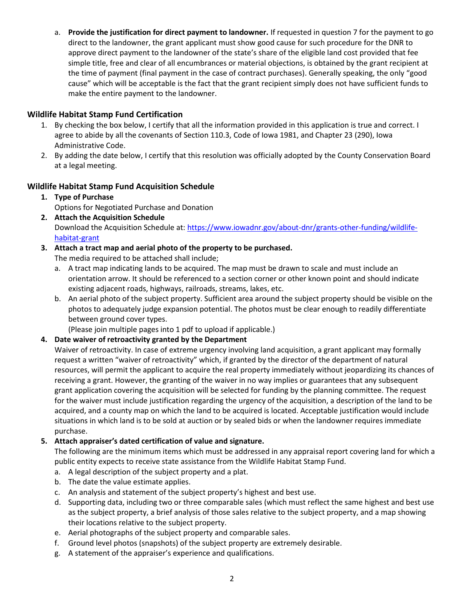a. **[Provide the justification for direct payment to landowner.](https://review.slideroom.com/)** If requested in question 7 for the payment to go direct to the landowner, the grant applicant must show good cause for such procedure for the DNR to approve direct payment to the landowner of the state's share of the eligible land cost provided that fee simple title, free and clear of all encumbrances or material objections, is obtained by the grant recipient at the time of payment (final payment in the case of contract purchases). Generally speaking, the only "good cause" which will be acceptable is the fact that the grant recipient simply does not have sufficient funds to make the entire payment to the landowner.

## **Wildlife Habitat Stamp Fund Certification**

- 1. By checking the box below, I certify that all the information provided in this application is true and correct. I agree to abide by all the covenants of Section 110.3, Code of Iowa 1981, and Chapter 23 (290), Iowa Administrative Code.
- 2. By adding the date below, I certify that this resolution was officially adopted by the County Conservation Board at a legal meeting.

#### **Wildlife Habitat Stamp Fund Acquisition Schedule**

- **1. Type of Purchase** Options for Negotiated Purchase and Donation
- **2. Attach the Acquisition Schedule** Download the Acquisition Schedule at: [https://www.iowadnr.gov/about-dnr/grants-other-funding/wildlife](https://www.iowadnr.gov/about-dnr/grants-other-funding/wildlife-habitat-grant)[habitat-grant](https://www.iowadnr.gov/about-dnr/grants-other-funding/wildlife-habitat-grant)

#### **3. Attach a tract map and aerial photo of the property to be purchased.**

The media required to be attached shall include;

- a. A tract map indicating lands to be acquired. The map must be drawn to scale and must include an orientation arrow. It should be referenced to a section corner or other known point and should indicate existing adjacent roads, highways, railroads, streams, lakes, etc.
- b. An aerial photo of the subject property. Sufficient area around the subject property should be visible on the photos to adequately judge expansion potential. The photos must be clear enough to readily differentiate between ground cover types.

(Please join multiple pages into 1 pdf to upload if applicable.)

#### **4. Date waiver of retroactivity granted by the Department**

Waiver of retroactivity. In case of extreme urgency involving land acquisition, a grant applicant may formally request a written "waiver of retroactivity" which, if granted by the director of the department of natural resources, will permit the applicant to acquire the real property immediately without jeopardizing its chances of receiving a grant. However, the granting of the waiver in no way implies or guarantees that any subsequent grant application covering the acquisition will be selected for funding by the planning committee. The request for the waiver must include justification regarding the urgency of the acquisition, a description of the land to be acquired, and a county map on which the land to be acquired is located. Acceptable justification would include situations in which land is to be sold at auction or by sealed bids or when the landowner requires immediate purchase.

#### **5. Attach appraiser's dated certification of value and signature.**

The following are the minimum items which must be addressed in any appraisal report covering land for which a public entity expects to receive state assistance from the Wildlife Habitat Stamp Fund.

- a. A legal description of the subject property and a plat.
- b. The date the value estimate applies.
- c. An analysis and statement of the subject property's highest and best use.
- d. Supporting data, including two or three comparable sales (which must reflect the same highest and best use as the subject property, a brief analysis of those sales relative to the subject property, and a map showing their locations relative to the subject property.
- e. Aerial photographs of the subject property and comparable sales.
- f. Ground level photos (snapshots) of the subject property are extremely desirable.
- g. A statement of the appraiser's experience and qualifications.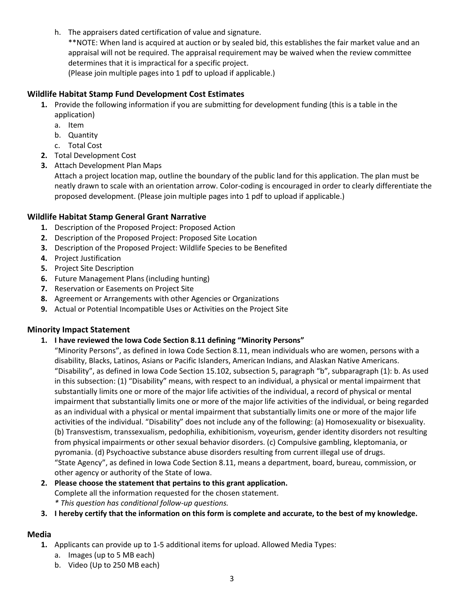h. The appraisers dated certification of value and signature. \*\*NOTE: When land is acquired at auction or by sealed bid, this establishes the fair market value and an appraisal will not be required. The appraisal requirement may be waived when the review committee determines that it is impractical for a specific project. (Please join multiple pages into 1 pdf to upload if applicable.)

#### **Wildlife Habitat Stamp Fund Development Cost Estimates**

- **1.** Provide the following information if you are submitting for development funding (this is a table in the application)
	- a. Item
	- b. Quantity
	- c. Total Cost
- **2.** Total Development Cost
- **3.** Attach Development Plan Maps

Attach a project location map, outline the boundary of the public land for this application. The plan must be neatly drawn to scale with an orientation arrow. Color-coding is encouraged in order to clearly differentiate the proposed development. (Please join multiple pages into 1 pdf to upload if applicable.)

#### **Wildlife Habitat Stamp General Grant Narrative**

- **1.** Description of the Proposed Project: Proposed Action
- **2.** Description of the Proposed Project: Proposed Site Location
- **3.** Description of the Proposed Project: Wildlife Species to be Benefited
- **4.** Project Justification
- **5.** Project Site Description
- **6.** Future Management Plans (including hunting)
- **7.** Reservation or Easements on Project Site
- **8.** Agreement or Arrangements with other Agencies or Organizations
- **9.** Actual or Potential Incompatible Uses or Activities on the Project Site

#### **Minority Impact Statement**

#### **1. I have reviewed the Iowa Code Section 8.11 defining "Minority Persons"**

"Minority Persons", as defined in Iowa Code Section 8.11, mean individuals who are women, persons with a disability, Blacks, Latinos, Asians or Pacific Islanders, American Indians, and Alaskan Native Americans. "Disability", as defined in Iowa Code Section 15.102, subsection 5, paragraph "b", subparagraph (1): b. As used in this subsection: (1) "Disability" means, with respect to an individual, a physical or mental impairment that substantially limits one or more of the major life activities of the individual, a record of physical or mental impairment that substantially limits one or more of the major life activities of the individual, or being regarded as an individual with a physical or mental impairment that substantially limits one or more of the major life activities of the individual. "Disability" does not include any of the following: (a) Homosexuality or bisexuality. (b) Transvestism, transsexualism, pedophilia, exhibitionism, voyeurism, gender identity disorders not resulting from physical impairments or other sexual behavior disorders. (c) Compulsive gambling, kleptomania, or pyromania. (d) Psychoactive substance abuse disorders resulting from current illegal use of drugs. "State Agency", as defined in Iowa Code Section 8.11, means a department, board, bureau, commission, or other agency or authority of the State of Iowa.

#### **2. Please choose the statement that pertains to this grant application.** Complete all the information requested for the chosen statement. *\* This question has conditional follow-up questions.*

**3. I hereby certify that the information on this form is complete and accurate, to the best of my knowledge.**

# **Media**

- **1.** Applicants can provide up to 1-5 additional items for upload. Allowed Media Types:
	- a. Images (up to 5 MB each)
	- b. Video (Up to 250 MB each)